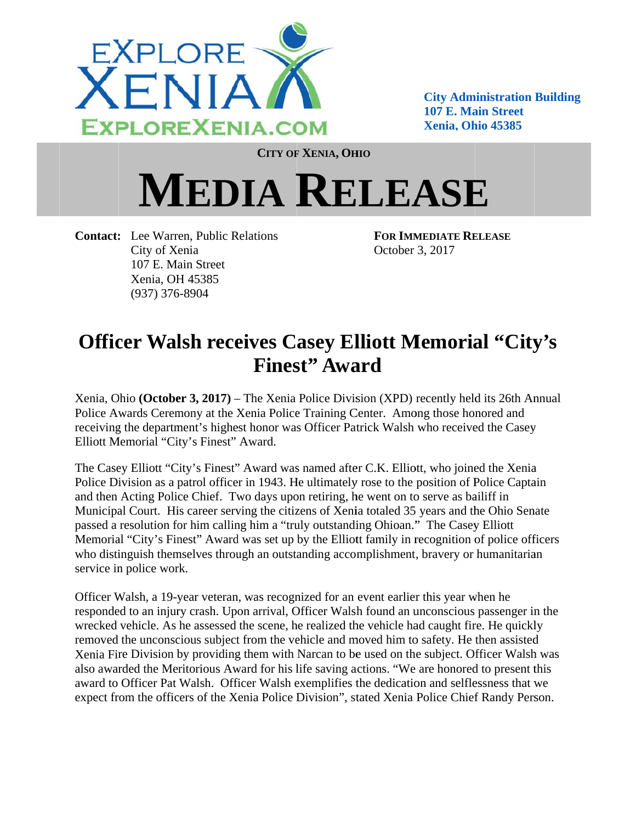

**City Administration Building** 107 E. Main Street **Xenia, Ohio 45385** 

**CITY OF XENIA, OHIO** 

## **MEDIA RELEASE**

**Contact:** Lee Warren, Public Relations City of Xenia 107 E. Main Street Xenia, OH 45385  $(937)$  376-8904

**FOR IMMEDIATE RELEASE** October 3, 2017

## **Officer Walsh receives Casey Elliott Memorial "City's Finest**" Award

Xenia, Ohio (October 3, 2017) – The Xenia Police Division (XPD) recently held its 26th Annual Police Awards Ceremony at the Xenia Police Training Center. Among those honored and receiving the department's highest honor was Officer Patrick Walsh who received the Casey Elliott Memorial "City's Finest" Award.

The Casey Elliott "City's Finest" Award was named after C.K. Elliott, who joined the Xenia Police Division as a patrol officer in 1943. He ultimately rose to the position of Police Captain and then Acting Police Chief. Two days upon retiring, he went on to serve as bailiff in Municipal Court. His career serving the citizens of Xenia totaled 35 years and the Ohio Senate passed a resolution for him calling him a "truly outstanding Ohioan." The Casey Elliott Memorial "City's Finest" Award was set up by the Elliott family in recognition of police officers who distinguish themselves through an outstanding accomplishment, bravery or humanitarian service in police work.

Officer Walsh, a 19-year veteran, was recognized for an event earlier this year when he responded to an injury crash. Upon arrival, Officer Walsh found an unconscious passenger in the wrecked vehicle. As he assessed the scene, he realized the vehicle had caught fire. He quickly removed the unconscious subject from the vehicle and moved him to safety. He then assisted Xenia Fire Division by providing them with Narcan to be used on the subject. Officer Walsh was also awarded the Meritorious Award for his life saving actions. "We are honored to present this award to Officer Pat Walsh. Officer Walsh exemplifies the dedication and selflessness that we expect from the officers of the Xenia Police Division", stated Xenia Police Chief Randy Person.